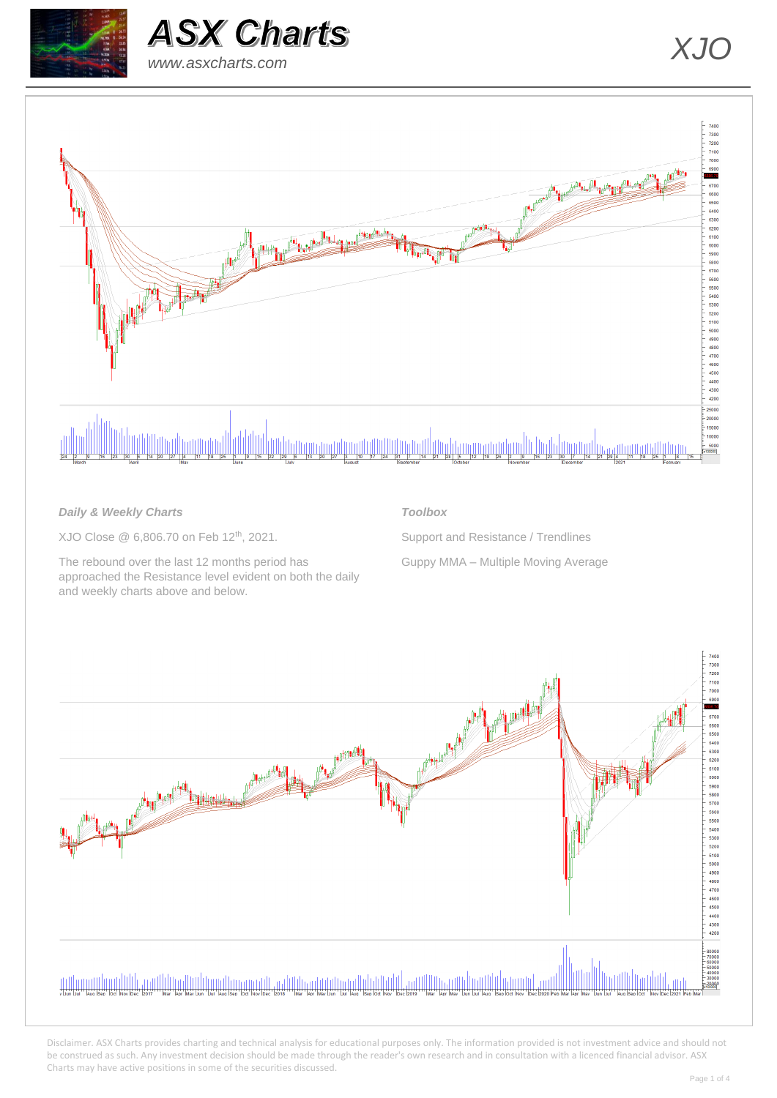





## *Daily & Weekly Charts*

XJO Close @ 6,806,70 on Feb 12<sup>th</sup>, 2021.

The rebound over the last 12 months period has approached the Resistance level evident on both the daily and weekly charts above and below.

### *Toolbox*

Support and Resistance / Trendlines Guppy MMA – Multiple Moving Average

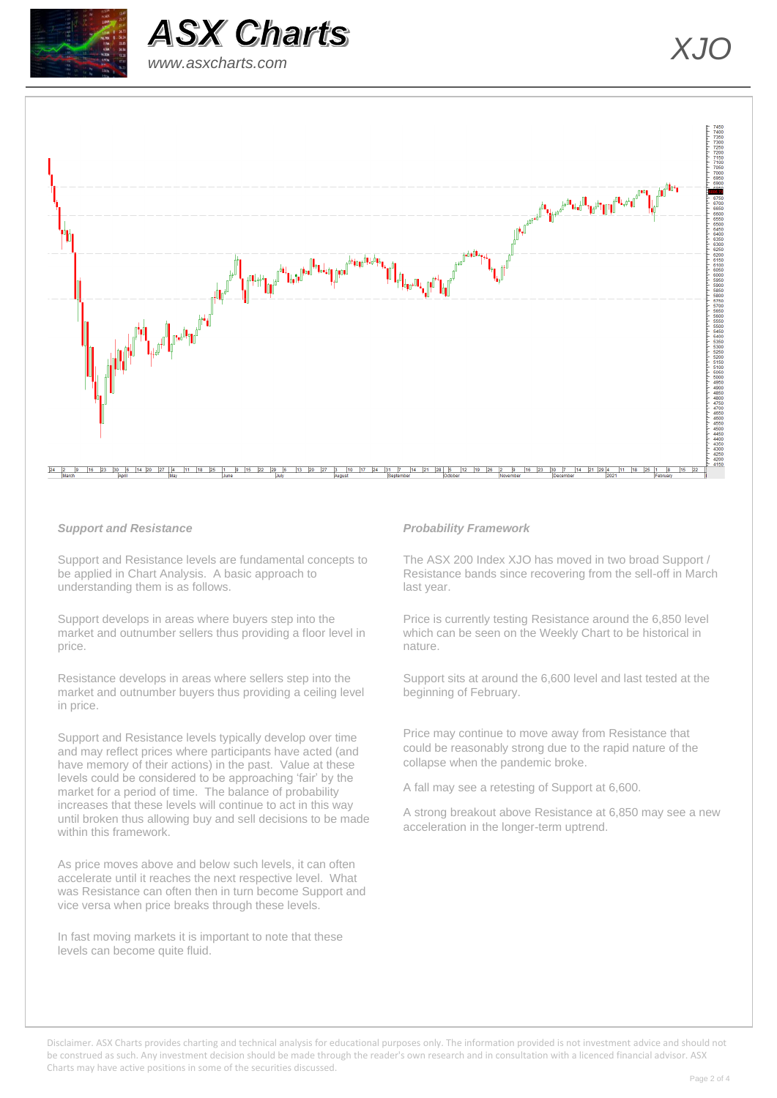





### *Support and Resistance*

Support and Resistance levels are fundamental concepts to be applied in Chart Analysis. A basic approach to understanding them is as follows.

Support develops in areas where buyers step into the market and outnumber sellers thus providing a floor level in price.

Resistance develops in areas where sellers step into the market and outnumber buyers thus providing a ceiling level in price.

Support and Resistance levels typically develop over time and may reflect prices where participants have acted (and have memory of their actions) in the past. Value at these levels could be considered to be approaching 'fair' by the market for a period of time. The balance of probability increases that these levels will continue to act in this way until broken thus allowing buy and sell decisions to be made within this framework.

As price moves above and below such levels, it can often accelerate until it reaches the next respective level. What was Resistance can often then in turn become Support and vice versa when price breaks through these levels.

In fast moving markets it is important to note that these levels can become quite fluid.

#### *Probability Framework*

The ASX 200 Index XJO has moved in two broad Support / Resistance bands since recovering from the sell-off in March last year.

Price is currently testing Resistance around the 6,850 level which can be seen on the Weekly Chart to be historical in nature.

Support sits at around the 6,600 level and last tested at the beginning of February.

Price may continue to move away from Resistance that could be reasonably strong due to the rapid nature of the collapse when the pandemic broke.

A fall may see a retesting of Support at 6,600.

A strong breakout above Resistance at 6,850 may see a new acceleration in the longer-term uptrend.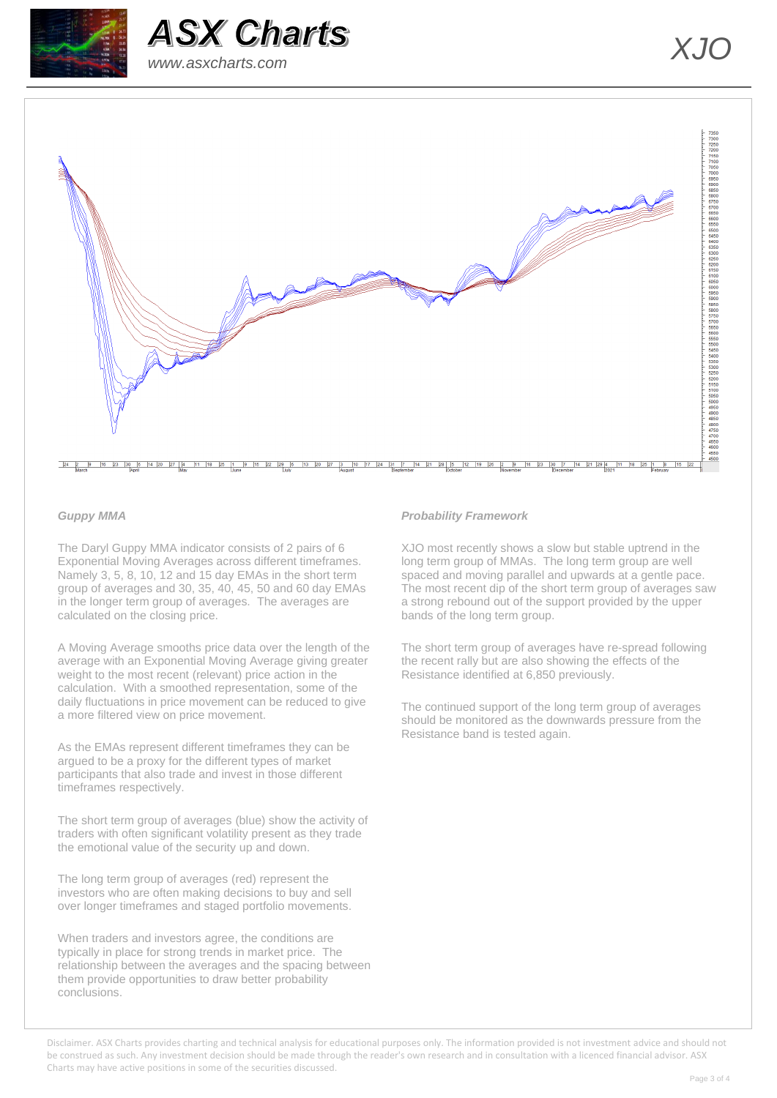





#### *Guppy MMA*

The Daryl Guppy MMA indicator consists of 2 pairs of 6 Exponential Moving Averages across different timeframes. Namely 3, 5, 8, 10, 12 and 15 day EMAs in the short term group of averages and 30, 35, 40, 45, 50 and 60 day EMAs in the longer term group of averages. The averages are calculated on the closing price.

A Moving Average smooths price data over the length of the average with an Exponential Moving Average giving greater weight to the most recent (relevant) price action in the calculation. With a smoothed representation, some of the daily fluctuations in price movement can be reduced to give a more filtered view on price movement.

As the EMAs represent different timeframes they can be argued to be a proxy for the different types of market participants that also trade and invest in those different timeframes respectively.

The short term group of averages (blue) show the activity of traders with often significant volatility present as they trade the emotional value of the security up and down.

The long term group of averages (red) represent the investors who are often making decisions to buy and sell over longer timeframes and staged portfolio movements.

When traders and investors agree, the conditions are typically in place for strong trends in market price. The relationship between the averages and the spacing between them provide opportunities to draw better probability conclusions.

#### *Probability Framework*

XJO most recently shows a slow but stable uptrend in the long term group of MMAs. The long term group are well spaced and moving parallel and upwards at a gentle pace. The most recent dip of the short term group of averages saw a strong rebound out of the support provided by the upper bands of the long term group.

The short term group of averages have re-spread following the recent rally but are also showing the effects of the Resistance identified at 6,850 previously.

The continued support of the long term group of averages should be monitored as the downwards pressure from the Resistance band is tested again.